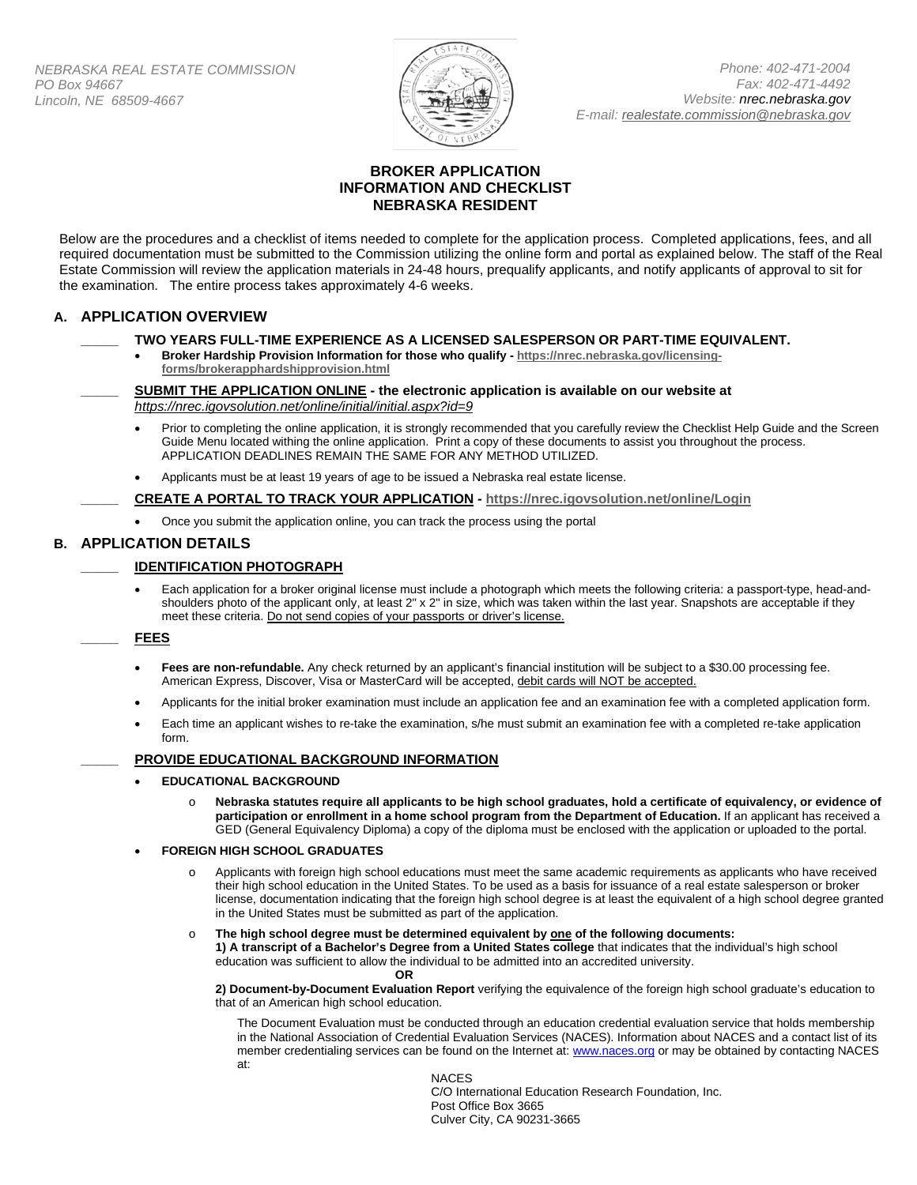

*Phone: 402-471-2004 Fax: 402-471-4492 Website: nrec.nebraska.gov E-mail: [realestate.commission@nebraska.gov](mailto:realestate.commission@nebraska.gov)*

# **BROKER APPLICATION INFORMATION AND CHECKLIST NEBRASKA RESIDENT**

Below are the procedures and a checklist of items needed to complete for the application process. Completed applications, fees, and all required documentation must be submitted to the Commission utilizing the online form and portal as explained below. The staff of the Real Estate Commission will review the application materials in 24-48 hours, prequalify applicants, and notify applicants of approval to sit for the examination. The entire process takes approximately 4-6 weeks.

# **A. APPLICATION OVERVIEW**

### **\_\_\_\_\_ TWO YEARS FULL-TIME EXPERIENCE AS A LICENSED SALESPERSON OR PART-TIME EQUIVALENT.**

• **Broker Hardship Provision Information for those who qualify - [https://nrec.nebraska.gov/licensing](https://nrec.nebraska.gov/licensing-forms/brokerapphardshipprovision.html)[forms/brokerapphardshipprovision.html](https://nrec.nebraska.gov/licensing-forms/brokerapphardshipprovision.html)**

**\_\_\_\_\_ SUBMIT THE APPLICATION ONLINE - the electronic application is available on our website at**  *https://nrec.igovsolution.net/online/initial/initial.aspx?id=9*

- Prior to completing the online application, it is strongly recommended that you carefully review the Checklist Help Guide and the Screen Guide Menu located withing the online application. Print a copy of these documents to assist you throughout the process. APPLICATION DEADLINES REMAIN THE SAME FOR ANY METHOD UTILIZED.
- Applicants must be at least 19 years of age to be issued a Nebraska real estate license.

**\_\_\_\_\_ CREATE A PORTAL TO TRACK YOUR APPLICATION - <https://nrec.igovsolution.net/online/Login>**

• Once you submit the application online, you can track the process using the portal

# **B. APPLICATION DETAILS**

### **\_\_\_\_\_ IDENTIFICATION PHOTOGRAPH**

• Each application for a broker original license must include a photograph which meets the following criteria: a passport-type, head-andshoulders photo of the applicant only, at least 2" x 2" in size, which was taken within the last year. Snapshots are acceptable if they meet these criteria. Do not send copies of your passports or driver's license.

### **\_\_\_\_\_ FEES**

- Fees are non-refundable. Any check returned by an applicant's financial institution will be subject to a \$30.00 processing fee. American Express, Discover, Visa or MasterCard will be accepted, debit cards will NOT be accepted.
- Applicants for the initial broker examination must include an application fee and an examination fee with a completed application form.
- Each time an applicant wishes to re-take the examination, s/he must submit an examination fee with a completed re-take application form.

### **\_\_\_\_\_ PROVIDE EDUCATIONAL BACKGROUND INFORMATION**

- **EDUCATIONAL BACKGROUND**
	- o **Nebraska statutes require all applicants to be high school graduates, hold a certificate of equivalency, or evidence of participation or enrollment in a home school program from the Department of Education.** If an applicant has received a GED (General Equivalency Diploma) a copy of the diploma must be enclosed with the application or uploaded to the portal.

#### • **FOREIGN HIGH SCHOOL GRADUATES**

- Applicants with foreign high school educations must meet the same academic requirements as applicants who have received their high school education in the United States. To be used as a basis for issuance of a real estate salesperson or broker license, documentation indicating that the foreign high school degree is at least the equivalent of a high school degree granted in the United States must be submitted as part of the application.
- o **The high school degree must be determined equivalent by one of the following documents: 1) A transcript of a Bachelor's Degree from a United States college** that indicates that the individual's high school

education was sufficient to allow the individual to be admitted into an accredited university. **OR**

**2) Document-by-Document Evaluation Report** verifying the equivalence of the foreign high school graduate's education to that of an American high school education.

The Document Evaluation must be conducted through an education credential evaluation service that holds membership in the National Association of Credential Evaluation Services (NACES). Information about NACES and a contact list of its member credentialing services can be found on the Internet at: www.naces.org or may be obtained by contacting NACES at:

NACES

C/O International Education Research Foundation, Inc. Post Office Box 3665 Culver City, CA 90231-3665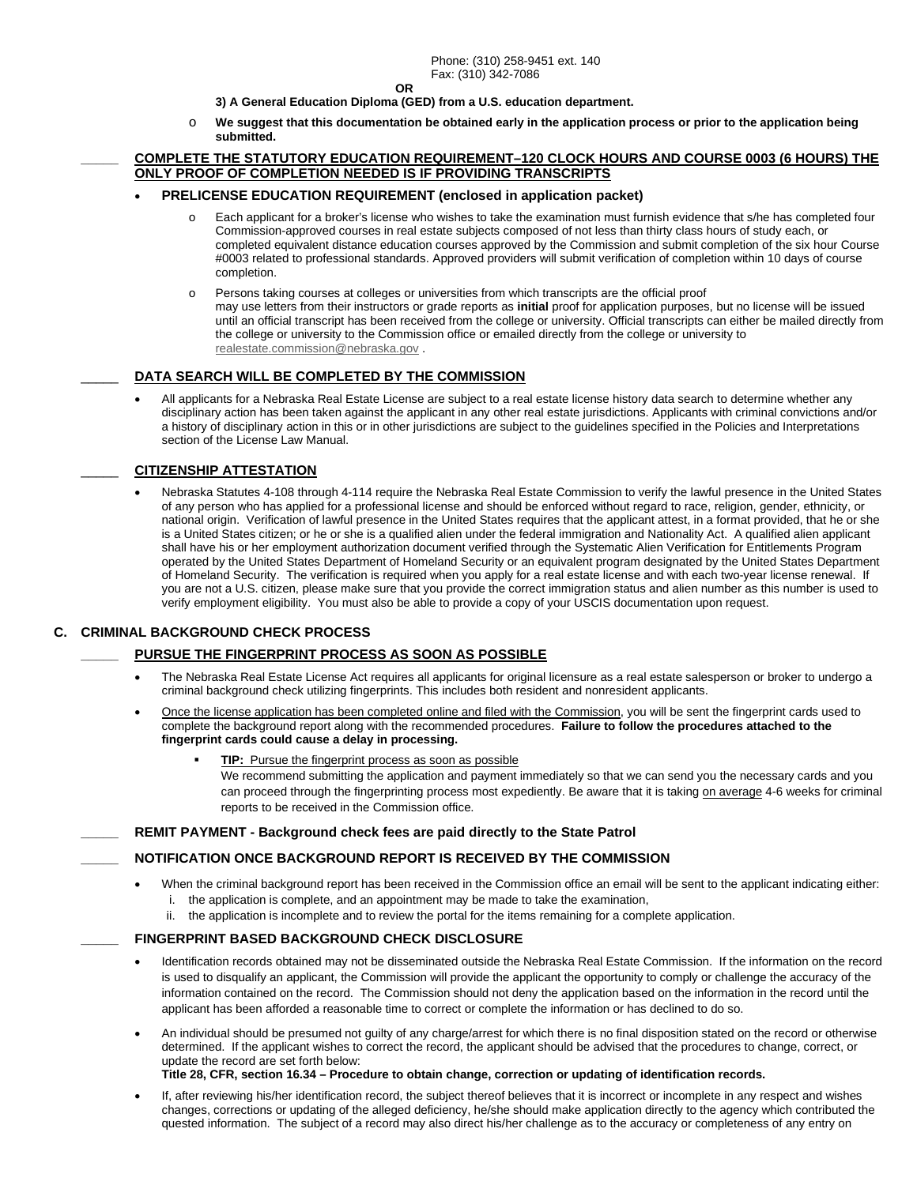**OR**

- **3) A General Education Diploma (GED) from a U.S. education department.**
- o **We suggest that this documentation be obtained early in the application process or prior to the application being submitted.**

#### **\_\_\_\_\_ COMPLETE THE STATUTORY EDUCATION REQUIREMENT–120 CLOCK HOURS AND COURSE 0003 (6 HOURS) THE ONLY PROOF OF COMPLETION NEEDED IS IF PROVIDING TRANSCRIPTS**

#### • **PRELICENSE EDUCATION REQUIREMENT (enclosed in application packet)**

- $\circ$  Each applicant for a broker's license who wishes to take the examination must furnish evidence that s/he has completed four Commission-approved courses in real estate subjects composed of not less than thirty class hours of study each, or completed equivalent distance education courses approved by the Commission and submit completion of the six hour Course #0003 related to professional standards. Approved providers will submit verification of completion within 10 days of course completion.
- o Persons taking courses at colleges or universities from which transcripts are the official proof may use letters from their instructors or grade reports as **initial** proof for application purposes, but no license will be issued until an official transcript has been received from the college or university. Official transcripts can either be mailed directly from the college or university to the Commission office or emailed directly from the college or university to [realestate.commission@nebraska.gov](mailto:realestate.commission@nebraska.gov) .

#### DATA SEARCH WILL BE COMPLETED BY THE COMMISSION

• All applicants for a Nebraska Real Estate License are subject to a real estate license history data search to determine whether any disciplinary action has been taken against the applicant in any other real estate jurisdictions. Applicants with criminal convictions and/or a history of disciplinary action in this or in other jurisdictions are subject to the guidelines specified in the Policies and Interpretations section of the License Law Manual.

# \_\_\_\_\_ **CITIZENSHIP ATTESTATION**

• Nebraska Statutes 4-108 through 4-114 require the Nebraska Real Estate Commission to verify the lawful presence in the United States of any person who has applied for a professional license and should be enforced without regard to race, religion, gender, ethnicity, or national origin. Verification of lawful presence in the United States requires that the applicant attest, in a format provided, that he or she is a United States citizen; or he or she is a qualified alien under the federal immigration and Nationality Act. A qualified alien applicant shall have his or her employment authorization document verified through the Systematic Alien Verification for Entitlements Program operated by the United States Department of Homeland Security or an equivalent program designated by the United States Department of Homeland Security. The verification is required when you apply for a real estate license and with each two-year license renewal. If you are not a U.S. citizen, please make sure that you provide the correct immigration status and alien number as this number is used to verify employment eligibility. You must also be able to provide a copy of your USCIS documentation upon request.

#### **C. CRIMINAL BACKGROUND CHECK PROCESS**

#### **\_\_\_\_\_ PURSUE THE FINGERPRINT PROCESS AS SOON AS POSSIBLE**

- The Nebraska Real Estate License Act requires all applicants for original licensure as a real estate salesperson or broker to undergo a criminal background check utilizing fingerprints. This includes both resident and nonresident applicants.
- Once the license application has been completed online and filed with the Commission, you will be sent the fingerprint cards used to complete the background report along with the recommended procedures. **Failure to follow the procedures attached to the fingerprint cards could cause a delay in processing.**

#### **TIP:** Pursue the fingerprint process as soon as possible

We recommend submitting the application and payment immediately so that we can send you the necessary cards and you can proceed through the fingerprinting process most expediently. Be aware that it is taking on average 4-6 weeks for criminal reports to be received in the Commission office.

**\_\_\_\_\_ REMIT PAYMENT - Background check fees are paid directly to the State Patrol**

### **\_\_\_\_\_ NOTIFICATION ONCE BACKGROUND REPORT IS RECEIVED BY THE COMMISSION**

- When the criminal background report has been received in the Commission office an email will be sent to the applicant indicating either: i. the application is complete, and an appointment may be made to take the examination,
	- ii. the application is incomplete and to review the portal for the items remaining for a complete application.

# **\_\_\_\_\_ FINGERPRINT BASED BACKGROUND CHECK DISCLOSURE**

- Identification records obtained may not be disseminated outside the Nebraska Real Estate Commission. If the information on the record is used to disqualify an applicant, the Commission will provide the applicant the opportunity to comply or challenge the accuracy of the information contained on the record. The Commission should not deny the application based on the information in the record until the applicant has been afforded a reasonable time to correct or complete the information or has declined to do so.
- An individual should be presumed not guilty of any charge/arrest for which there is no final disposition stated on the record or otherwise determined. If the applicant wishes to correct the record, the applicant should be advised that the procedures to change, correct, or update the record are set forth below: **Title 28, CFR, section 16.34 – Procedure to obtain change, correction or updating of identification records.** 
	-
- If, after reviewing his/her identification record, the subject thereof believes that it is incorrect or incomplete in any respect and wishes changes, corrections or updating of the alleged deficiency, he/she should make application directly to the agency which contributed the quested information. The subject of a record may also direct his/her challenge as to the accuracy or completeness of any entry on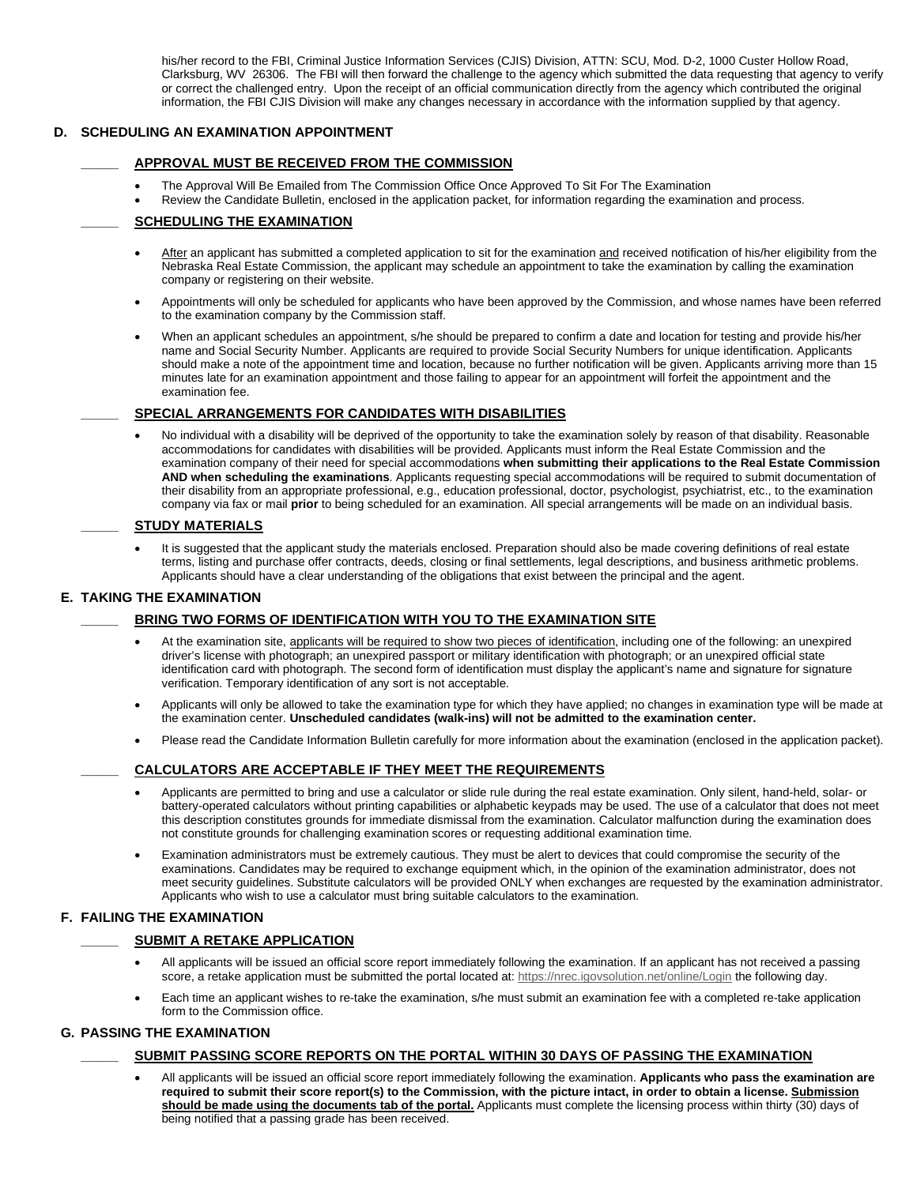his/her record to the FBI, Criminal Justice Information Services (CJIS) Division, ATTN: SCU, Mod. D-2, 1000 Custer Hollow Road, Clarksburg, WV 26306. The FBI will then forward the challenge to the agency which submitted the data requesting that agency to verify or correct the challenged entry. Upon the receipt of an official communication directly from the agency which contributed the original information, the FBI CJIS Division will make any changes necessary in accordance with the information supplied by that agency.

# **D. SCHEDULING AN EXAMINATION APPOINTMENT**

### **\_\_\_\_\_ APPROVAL MUST BE RECEIVED FROM THE COMMISSION**

- The Approval Will Be Emailed from The Commission Office Once Approved To Sit For The Examination
- Review the Candidate Bulletin, enclosed in the application packet, for information regarding the examination and process.

# **\_\_\_\_\_ SCHEDULING THE EXAMINATION**

- After an applicant has submitted a completed application to sit for the examination and received notification of his/her eligibility from the Nebraska Real Estate Commission, the applicant may schedule an appointment to take the examination by calling the examination company or registering on their website.
- Appointments will only be scheduled for applicants who have been approved by the Commission, and whose names have been referred to the examination company by the Commission staff.
- When an applicant schedules an appointment, s/he should be prepared to confirm a date and location for testing and provide his/her name and Social Security Number. Applicants are required to provide Social Security Numbers for unique identification. Applicants should make a note of the appointment time and location, because no further notification will be given. Applicants arriving more than 15 minutes late for an examination appointment and those failing to appear for an appointment will forfeit the appointment and the examination fee.

### **\_\_\_\_\_ SPECIAL ARRANGEMENTS FOR CANDIDATES WITH DISABILITIES**

• No individual with a disability will be deprived of the opportunity to take the examination solely by reason of that disability. Reasonable accommodations for candidates with disabilities will be provided. Applicants must inform the Real Estate Commission and the examination company of their need for special accommodations **when submitting their applications to the Real Estate Commission AND when scheduling the examinations**. Applicants requesting special accommodations will be required to submit documentation of their disability from an appropriate professional, e.g., education professional, doctor, psychologist, psychiatrist, etc., to the examination company via fax or mail **prior** to being scheduled for an examination. All special arrangements will be made on an individual basis.

#### **\_\_\_\_\_ STUDY MATERIALS**

• It is suggested that the applicant study the materials enclosed. Preparation should also be made covering definitions of real estate terms, listing and purchase offer contracts, deeds, closing or final settlements, legal descriptions, and business arithmetic problems. Applicants should have a clear understanding of the obligations that exist between the principal and the agent.

### **E. TAKING THE EXAMINATION**

### **\_\_\_\_\_ BRING TWO FORMS OF IDENTIFICATION WITH YOU TO THE EXAMINATION SITE**

- At the examination site, applicants will be required to show two pieces of identification, including one of the following: an unexpired driver's license with photograph; an unexpired passport or military identification with photograph; or an unexpired official state identification card with photograph. The second form of identification must display the applicant's name and signature for signature verification. Temporary identification of any sort is not acceptable.
- Applicants will only be allowed to take the examination type for which they have applied; no changes in examination type will be made at the examination center. **Unscheduled candidates (walk-ins) will not be admitted to the examination center.**
- Please read the Candidate Information Bulletin carefully for more information about the examination (enclosed in the application packet).

### **\_\_\_\_\_ CALCULATORS ARE ACCEPTABLE IF THEY MEET THE REQUIREMENTS**

- Applicants are permitted to bring and use a calculator or slide rule during the real estate examination. Only silent, hand-held, solar- or battery-operated calculators without printing capabilities or alphabetic keypads may be used. The use of a calculator that does not meet this description constitutes grounds for immediate dismissal from the examination. Calculator malfunction during the examination does not constitute grounds for challenging examination scores or requesting additional examination time.
- Examination administrators must be extremely cautious. They must be alert to devices that could compromise the security of the examinations. Candidates may be required to exchange equipment which, in the opinion of the examination administrator, does not meet security guidelines. Substitute calculators will be provided ONLY when exchanges are requested by the examination administrator. Applicants who wish to use a calculator must bring suitable calculators to the examination.

### **F. FAILING THE EXAMINATION**

### **\_\_\_\_\_ SUBMIT A RETAKE APPLICATION**

- All applicants will be issued an official score report immediately following the examination. If an applicant has not received a passing score, a retake application must be submitted the portal located at:<https://nrec.igovsolution.net/online/Login> the following day.
- Each time an applicant wishes to re-take the examination, s/he must submit an examination fee with a completed re-take application form to the Commission office.

### **G. PASSING THE EXAMINATION**

### **\_\_\_\_\_ SUBMIT PASSING SCORE REPORTS ON THE PORTAL WITHIN 30 DAYS OF PASSING THE EXAMINATION**

• All applicants will be issued an official score report immediately following the examination. **Applicants who pass the examination are required to submit their score report(s) to the Commission, with the picture intact, in order to obtain a license. Submission should be made using the documents tab of the portal.** Applicants must complete the licensing process within thirty (30) days of being notified that a passing grade has been received.